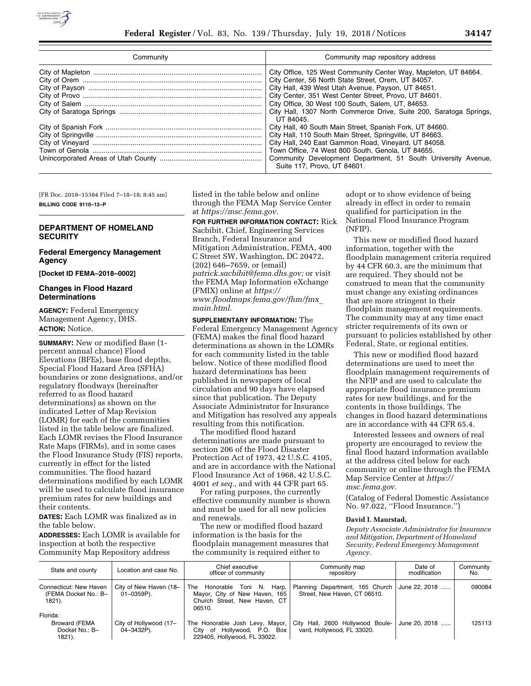

| Community | Community map repository address                                                                                                                                                                                                                                                                                                                                              |  |
|-----------|-------------------------------------------------------------------------------------------------------------------------------------------------------------------------------------------------------------------------------------------------------------------------------------------------------------------------------------------------------------------------------|--|
|           | City Office, 125 West Community Center Way, Mapleton, UT 84664.<br>City Center, 56 North State Street, Orem. UT 84057.<br>City Hall, 439 West Utah Avenue, Payson, UT 84651.<br>City Center, 351 West Center Street, Provo, UT 84601.<br>City Office, 30 West 100 South, Salem, UT, 84653.<br>City Hall, 1307 North Commerce Drive, Suite 200, Saratoga Springs,<br>UT 84045. |  |
|           | City Hall, 40 South Main Street, Spanish Fork, UT 84660.<br>City Hall, 110 South Main Street, Springville, UT 84663.<br>City Hall, 240 East Gammon Road, Vineyard, UT 84058.<br>Town Office, 74 West 800 South, Genola, UT 84655.<br>Community Development Department, 51 South University Avenue,<br>Suite 117, Provo, UT 84601.                                             |  |

[FR Doc. 2018–15384 Filed 7–18–18; 8:45 am] **BILLING CODE 9110–12–P** 

## **DEPARTMENT OF HOMELAND SECURITY**

## **Federal Emergency Management Agency**

**[Docket ID FEMA–2018–0002]** 

## **Changes in Flood Hazard Determinations**

**AGENCY:** Federal Emergency Management Agency, DHS. **ACTION:** Notice.

**SUMMARY:** New or modified Base (1 percent annual chance) Flood Elevations (BFEs), base flood depths, Special Flood Hazard Area (SFHA) boundaries or zone designations, and/or regulatory floodways (hereinafter referred to as flood hazard determinations) as shown on the indicated Letter of Map Revision (LOMR) for each of the communities listed in the table below are finalized. Each LOMR revises the Flood Insurance Rate Maps (FIRMs), and in some cases the Flood Insurance Study (FIS) reports, currently in effect for the listed communities. The flood hazard determinations modified by each LOMR will be used to calculate flood insurance premium rates for new buildings and their contents.

**DATES:** Each LOMR was finalized as in the table below.

**ADDRESSES:** Each LOMR is available for inspection at both the respective Community Map Repository address

listed in the table below and online through the FEMA Map Service Center at *<https://msc.fema.gov>*.

**FOR FURTHER INFORMATION CONTACT:** Rick Sacbibit, Chief, Engineering Services Branch, Federal Insurance and Mitigation Administration, FEMA, 400 C Street SW, Washington, DC 20472, (202) 646–7659, or (email) *[patrick.sacbibit@fema.dhs.gov;](mailto:patrick.sacbibit@fema.dhs.gov)* or visit the FEMA Map Information eXchange (FMIX) online at *[https://](https://www.floodmaps.fema.gov/fhm/fmx_main.html) [www.floodmaps.fema.gov/fhm/fmx](https://www.floodmaps.fema.gov/fhm/fmx_main.html)*\_ *[main.html](https://www.floodmaps.fema.gov/fhm/fmx_main.html)*.

**SUPPLEMENTARY INFORMATION:** The Federal Emergency Management Agency (FEMA) makes the final flood hazard determinations as shown in the LOMRs for each community listed in the table below. Notice of these modified flood hazard determinations has been published in newspapers of local circulation and 90 days have elapsed since that publication. The Deputy Associate Administrator for Insurance and Mitigation has resolved any appeals resulting from this notification.

The modified flood hazard determinations are made pursuant to section 206 of the Flood Disaster Protection Act of 1973, 42 U.S.C. 4105, and are in accordance with the National Flood Insurance Act of 1968, 42 U.S.C. 4001 *et seq.,* and with 44 CFR part 65.

For rating purposes, the currently effective community number is shown and must be used for all new policies and renewals.

The new or modified flood hazard information is the basis for the floodplain management measures that the community is required either to

adopt or to show evidence of being already in effect in order to remain qualified for participation in the National Flood Insurance Program (NFIP).

This new or modified flood hazard information, together with the floodplain management criteria required by 44 CFR 60.3, are the minimum that are required. They should not be construed to mean that the community must change any existing ordinances that are more stringent in their floodplain management requirements. The community may at any time enact stricter requirements of its own or pursuant to policies established by other Federal, State, or regional entities.

This new or modified flood hazard determinations are used to meet the floodplain management requirements of the NFIP and are used to calculate the appropriate flood insurance premium rates for new buildings, and for the contents in those buildings. The changes in flood hazard determinations are in accordance with 44 CFR 65.4.

Interested lessees and owners of real property are encouraged to review the final flood hazard information available at the address cited below for each community or online through the FEMA Map Service Center at *[https://](https://msc.fema.gov) [msc.fema.gov.](https://msc.fema.gov)* 

(Catalog of Federal Domestic Assistance No. 97.022, ''Flood Insurance.'')

## **David I. Maurstad,**

*Deputy Associate Administrator for Insurance and Mitigation, Department of Homeland Security, Federal Emergency Management Agency.* 

| State and county                                             | Location and case No.                     | Chief executive<br>officer of community                                                                | Community map<br>repository                                     | Date of<br>modification | Community<br>No. |
|--------------------------------------------------------------|-------------------------------------------|--------------------------------------------------------------------------------------------------------|-----------------------------------------------------------------|-------------------------|------------------|
| Connecticut: New Haven<br>(FEMA Docket No.: B-<br>1821).     | City of New Haven (18-<br>$01 - 0359P$ ). | The Honorable Toni N. Harp,<br>Mavor. City of New Haven. 165<br>Church Street. New Haven. CT<br>06510. | Planning Department, 165 Church<br>Street, New Haven, CT 06510. | June 22, 2018           | 090084           |
| Florida:<br><b>Broward (FEMA</b><br>Docket No.: B-<br>1821). | City of Hollywood (17-<br>04–3432P).      | The Honorable Josh Levy, Mayor,<br>City of Hollywood, P.O. Box<br>229405, Hollywood, FL 33022.         | City Hall, 2600 Hollywood Boule-<br>vard, Hollywood, FL 33020.  | June 20, 2018           | 125113           |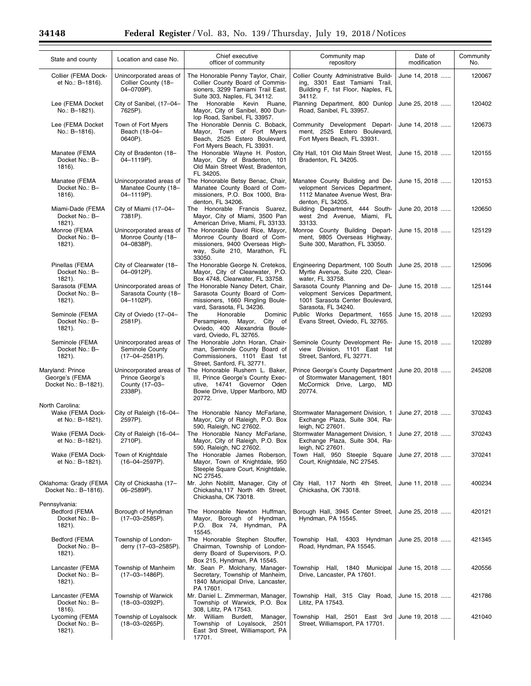Ξ

| State and county                                           | Location and case No.                                                   | Chief executive<br>officer of community                                                                                                           | Community map<br>repository                                                                                                  | Date of<br>modification | Community<br>No. |
|------------------------------------------------------------|-------------------------------------------------------------------------|---------------------------------------------------------------------------------------------------------------------------------------------------|------------------------------------------------------------------------------------------------------------------------------|-------------------------|------------------|
| Collier (FEMA Dock-<br>et No.: B-1816).                    | Unincorporated areas of<br>Collier County (18-<br>04-0709P).            | The Honorable Penny Taylor, Chair,<br>Collier County Board of Commis-<br>sioners, 3299 Tamiami Trail East,<br>Suite 303, Naples, FL 34112.        | Collier County Administrative Build-<br>ing, 3301 East Tamiami Trail,<br>Building F, 1st Floor, Naples, FL<br>34112.         | June 14, 2018           | 120067           |
| Lee (FEMA Docket<br>No.: B-1821).                          | City of Sanibel, (17-04-<br>7625P).                                     | Honorable Kevin Ruane,<br>The<br>Mayor, City of Sanibel, 800 Dun-<br>lop Road, Sanibel, FL 33957.                                                 | Planning Department, 800 Dunlop<br>Road, Sanibel, FL 33957.                                                                  | June 25, 2018           | 120402           |
| Lee (FEMA Docket<br>No.: B-1816).                          | Town of Fort Myers<br>Beach (18-04-<br>0640P).                          | The Honorable Dennis C. Boback,<br>Mayor, Town of Fort Myers<br>Beach, 2525 Estero Boulevard,<br>Fort Myers Beach, FL 33931.                      | Community Development Depart-<br>ment, 2525 Estero Boulevard,<br>Fort Myers Beach, FL 33931.                                 | June 14, 2018           | 120673           |
| Manatee (FEMA<br>Docket No.: B-<br>$1816$ ).               | City of Bradenton (18-<br>04-1119P).                                    | The Honorable Wayne H. Poston,<br>Mayor, City of Bradenton, 101<br>Old Main Street West, Bradenton,<br>FL 34205.                                  | City Hall, 101 Old Main Street West,<br>Bradenton, FL 34205.                                                                 | June 15, 2018           | 120155           |
| Manatee (FEMA<br>Docket No.: B-<br>1816).                  | Unincorporated areas of<br>Manatee County (18-<br>04-1119P).            | The Honorable Betsy Benac, Chair,<br>Manatee County Board of Com-<br>missioners, P.O. Box 1000, Bra-<br>denton, FL 34206.                         | Manatee County Building and De-<br>velopment Services Department,<br>1112 Manatee Avenue West, Bra-<br>denton, FL 34205.     | June 15, 2018           | 120153           |
| Miami-Dade (FEMA<br>Docket No.: B-<br>$1821$ ).            | City of Miami (17-04-<br>7381P).                                        | The Honorable Francis Suarez,<br>Mayor, City of Miami, 3500 Pan<br>American Drive, Miami, FL 33133.                                               | Building Department, 444 South-<br>west 2nd Avenue. Miami. FL<br>33133.                                                      | June 20, 2018           | 120650           |
| Monroe (FEMA<br>Docket No.: B-<br>$1821$ ).                | Unincorporated areas of<br>Monroe County (18-<br>04-0838P).             | The Honorable David Rice, Mayor,<br>Monroe County Board of Com-<br>missioners, 9400 Overseas High-<br>way, Suite 210, Marathon, FL<br>33050.      | Monroe County Building Depart-<br>ment, 9805 Overseas Highway,<br>Suite 300, Marathon, FL 33050.                             | June 15, 2018           | 125129           |
| Pinellas (FEMA<br>Docket No.: B-<br>$1821$ ).              | City of Clearwater (18-<br>04-0912P).                                   | The Honorable George N. Cretekos,<br>Mayor, City of Clearwater, P.O.<br>Box 4748, Clearwater, FL 33758.                                           | Engineering Department, 100 South<br>Myrtle Avenue, Suite 220, Clear-<br>water, FL 33758.                                    | June 25, 2018           | 125096           |
| Sarasota (FEMA<br>Docket No.: B-<br>$1821$ ).              | Unincorporated areas of<br>Sarasota County (18-<br>04-1102P).           | The Honorable Nancy Detert, Chair,<br>Sarasota County Board of Com-<br>missioners, 1660 Ringling Boule-<br>vard, Sarasota, FL 34236.              | Sarasota County Planning and De-<br>velopment Services Department,<br>1001 Sarasota Center Boulevard,<br>Sarasota, FL 34240. | June 15, 2018           | 125144           |
| Seminole (FEMA<br>Docket No.: B-<br>$1821$ ).              | City of Oviedo (17-04-<br>2581P).                                       | Honorable<br>Dominic<br>The<br>City<br>of<br>Persampiere, Mayor,<br>Oviedo, 400 Alexandria Boule-<br>vard, Oviedo, FL 32765.                      | Public Works Department, 1655<br>Evans Street, Oviedo, FL 32765.                                                             | June 15, 2018           | 120293           |
| Seminole (FEMA<br>Docket No.: B-<br>1821).                 | Unincorporated areas of<br>Seminole County<br>$(17-04-2581P)$ .         | The Honorable John Horan, Chair-<br>man, Seminole County Board of<br>Commissioners, 1101 East 1st<br>Street, Sanford, FL 32771.                   | Seminole County Development Re-<br>view Division, 1101 East 1st<br>Street, Sanford, FL 32771.                                | June 15, 2018           | 120289           |
| Maryland: Prince<br>George's (FEMA<br>Docket No.: B-1821). | Unincorporated areas of<br>Prince George's<br>County (17-03-<br>2338P). | The Honorable Rushern L. Baker,<br>III, Prince George's County Exec-<br>utive, 14741 Governor Oden<br>Bowie Drive, Upper Marlboro, MD<br>20772.   | Prince George's County Department<br>of Stormwater Management, 1801<br>McCormick Drive, Largo, MD<br>20774.                  | June 20, 2018           | 245208           |
| North Carolina:<br>Wake (FEMA Dock-                        | City of Raleigh (16-04-                                                 | The Honorable Nancy McFarlane,                                                                                                                    | Stormwater Management Division, 1                                                                                            | June 27, 2018           | 370243           |
| et No.: B-1821).                                           | 2597P).<br>Wake (FEMA Dock-   City of Raleigh (16-04-                   | Mayor, City of Raleigh, P.O. Box<br>590, Raleigh, NC 27602.<br>The Honorable Nancy McFarlane,                                                     | Exchange Plaza, Suite 304, Ra-<br>leigh, NC 27601.<br>Stormwater Management Division, 1                                      | June 27, 2018           | 370243           |
| et No.: B-1821).<br>Wake (FEMA Dock-                       | 2710P).<br>Town of Knightdale                                           | Mayor, City of Raleigh, P.O. Box<br>590, Raleigh, NC 27602.<br>The Honorable James Roberson,                                                      | Exchange Plaza, Suite 304, Ra-<br>leigh, NC 27601.<br>Town Hall, 950 Steeple Square                                          | June 27, 2018           | 370241           |
| et No.: B-1821).                                           | $(16-04-2597P)$ .                                                       | Mayor, Town of Knightdale, 950<br>Steeple Square Court, Knightdale,<br>NC 27545.                                                                  | Court, Knightdale, NC 27545.                                                                                                 |                         |                  |
| Oklahoma: Grady (FEMA<br>Docket No.: B-1816).              | City of Chickasha (17-<br>06-2589P).                                    | Mr. John Noblitt, Manager, City of<br>Chickasha, 117 North 4th Street,<br>Chickasha, OK 73018.                                                    | City Hall, 117 North 4th Street,<br>Chickasha, OK 73018.                                                                     | June 11, 2018           | 400234           |
| Pennsylvania:<br>Bedford (FEMA<br>Docket No.: B-<br>1821). | Borough of Hyndman<br>(17-03-2585P).                                    | The Honorable Newton Huffman,<br>Mayor, Borough of Hyndman,<br>P.O. Box 74, Hyndman, PA                                                           | Borough Hall, 3945 Center Street,<br>Hyndman, PA 15545.                                                                      | June 25, 2018           | 420121           |
| Bedford (FEMA<br>Docket No.: B-<br>1821).                  | Township of London-<br>derry (17-03-2585P).                             | 15545.<br>The Honorable Stephen Stouffer,<br>Chairman, Township of London-<br>derry Board of Supervisors, P.O.                                    | Township Hall, 4303 Hyndman<br>Road, Hyndman, PA 15545.                                                                      | June 25, 2018           | 421345           |
| Lancaster (FEMA<br>Docket No.: B-<br>1821).                | Township of Manheim<br>(17-03-1486P).                                   | Box 215, Hyndman, PA 15545.<br>Mr. Sean P. Molchany, Manager-<br>Secretary, Township of Manheim,<br>1840 Municipal Drive, Lancaster,<br>PA 17601. | Township Hall, 1840 Municipal<br>Drive, Lancaster, PA 17601.                                                                 | June 15, 2018           | 420556           |
| Lancaster (FEMA<br>Docket No.: B-<br>1816).                | Township of Warwick<br>(18-03-0392P).                                   | Mr. Daniel L. Zimmerman, Manager,<br>Township of Warwick, P.O. Box<br>308, Lititz, PA 17543.                                                      | Township Hall, 315 Clay Road,<br>Lititz, PA 17543.                                                                           | June 15, 2018           | 421786           |
| Lycoming (FEMA<br>Docket No.: B-<br>1821).                 | Township of Loyalsock<br>$(18 - 03 - 0265P)$ .                          | Mr. William Burdett,<br>Manager,<br>Township of Loyalsock, 2501<br>East 3rd Street, Williamsport, PA<br>17701.                                    | Township Hall, 2501 East 3rd<br>Street, Williamsport, PA 17701.                                                              | June 19, 2018           | 421040           |